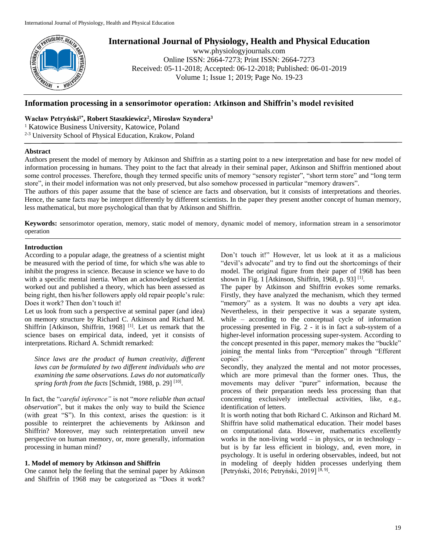

# **International Journal of Physiology, Health and Physical Education**

www.physiologyjournals.com Online ISSN: 2664-7273; Print ISSN: 2664-7273 Received: 05-11-2018; Accepted: 06-12-2018; Published: 06-01-2019 Volume 1; Issue 1; 2019; Page No. 19-23

# **Information processing in a sensorimotor operation: Atkinson and Shiffrin's model revisited**

# **Wacław Petryński1\* , Robert Staszkiewicz<sup>2</sup> , Mirosław Szyndera<sup>3</sup>**

<sup>1</sup> Katowice Business University, Katowice, Poland

2-3 University School of Physical Education, Krakow, Poland

# **Abstract**

Authors present the model of memory by Atkinson and Shiffrin as a starting point to a new interpretation and base for new model of information processing in humans. They point to the fact that already in their seminal paper, Atkinson and Shiffrin mentioned about some control processes. Therefore, though they termed specific units of memory "sensory register", "short term store" and "long term store", in their model information was not only preserved, but also somehow processed in particular "memory drawers".

The authors of this paper assume that the base of science are facts and observation, but it consists of interpretations and theories. Hence, the same facts may be interpret differently by different scientists. In the paper they present another concept of human memory, less mathematical, but more psychological than that by Atkinson and Shiffrin.

**Keywords:** sensorimotor operation, memory, static model of memory, dynamic model of memory, information stream in a sensorimotor operation

# **Introduction**

According to a popular adage, the greatness of a scientist might be measured with the period of time, for which s/he was able to inhibit the progress in science. Because in science we have to do with a specific mental inertia. When an acknowledged scientist worked out and published a theory, which has been assessed as being right, then his/her followers apply old repair people's rule: Does it work? Then don't touch it!

Let us look from such a perspective at seminal paper (and idea) on memory structure by Richard C. Atkinson and Richard M. Shiffrin [Atkinson, Shiffrin, 1968]<sup>[1]</sup>. Let us remark that the science bases on empirical data, indeed, yet it consists of interpretations. Richard A. Schmidt remarked:

*Since laws are the product of human creativity, different laws can be formulated by two different individuals who are examining the same observations. Laws do not automatically*  spring forth from the facts [Schmidt, 1988, p. 29]<sup>[10]</sup>.

In fact, the "*careful inference"* is not "*more reliable than actual observation*", but it makes the only way to build the Science (with great "S"). In this context, arises the question: is it possible to reinterpret the achievements by Atkinson and Shiffrin? Moreover, may such reinterpretation unveil new perspective on human memory, or, more generally, information processing in human mind?

# **1. Model of memory by Atkinson and Shiffrin**

One cannot help the feeling that the seminal paper by Atkinson and Shiffrin of 1968 may be categorized as "Does it work?

Don't touch it!" However, let us look at it as a malicious "devil's advocate" and try to find out the shortcomings of their model. The original figure from their paper of 1968 has been shown in Fig. 1 [Atkinson, Shiffrin, 1968, p. 93]  $^{[1]}$ .

The paper by Atkinson and Shiffrin evokes some remarks. Firstly, they have analyzed the mechanism, which they termed "memory" as a system. It was no doubts a very apt idea. Nevertheless, in their perspective it was a separate system, while – according to the conceptual cycle of information processing presented in Fig. 2 - it is in fact a sub-system of a higher-level information processing super-system. According to the concept presented in this paper, memory makes the "buckle" joining the mental links from "Perception" through "Efferent copies".

Secondly, they analyzed the mental and not motor processes, which are more primeval than the former ones. Thus, the movements may deliver "purer" information, because the process of their preparation needs less processing than that concerning exclusively intellectual activities, like, e.g., identification of letters.

It is worth noting that both Richard C. Atkinson and Richard M. Shiffrin have solid mathematical education. Their model bases on computational data. However, mathematics excellently works in the non-living world – in physics, or in technology – but is by far less efficient in biology, and, even more, in psychology. It is useful in ordering observables, indeed, but not in modeling of deeply hidden processes underlying them [Petryński, 2016; Petryński, 2019]<sup>[8, 9]</sup>.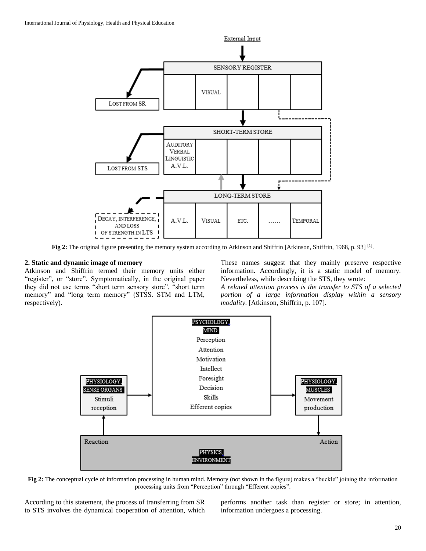

**Fig 2:** The original figure presenting the memory system according to Atkinson and Shiffrin [Atkinson, Shiffrin, 1968, p. 93] <sup>[1]</sup>.

#### **2. Static and dynamic image of memory**

Atkinson and Shiffrin termed their memory units either "register", or "store". Symptomatically, in the original paper they did not use terms "short term sensory store", "short term memory" and "long term memory" (STSS. STM and LTM, respectively).

These names suggest that they mainly preserve respective information. Accordingly, it is a static model of memory. Nevertheless, while describing the STS, they wrote:

*A related attention process is the transfer to STS of a selected portion of a large information display within a sensory modality*. [Atkinson, Shiffrin, p. 107].



**Fig 2:** The conceptual cycle of information processing in human mind. Memory (not shown in the figure) makes a "buckle" joining the information processing units from "Perception" through "Efferent copies".

According to this statement, the process of transferring from SR to STS involves the dynamical cooperation of attention, which

performs another task than register or store; in attention, information undergoes a processing.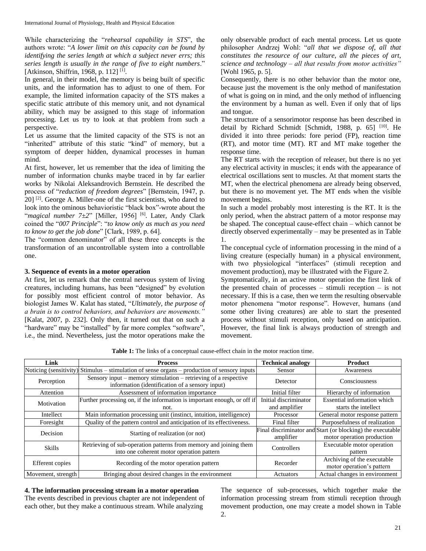While characterizing the "*rehearsal capability in STS*", the authors wrote: "*A lower limit on this capacity can be found by identifying the series length at which a subject never errs; this series length is usually in the range of five to eight numbers*." [Atkinson, Shiffrin, 1968, p. 112]<sup>[1]</sup>.

In general, in their model, the memory is being built of specific units, and the information has to adjust to one of them. For example, the limited information capacity of the STS makes a specific static attribute of this memory unit, and not dynamical ability, which may be assigned to this stage of information processing. Let us try to look at that problem from such a perspective.

Let us assume that the limited capacity of the STS is not an "inherited" attribute of this static "kind" of memory, but a symptom of deeper hidden, dynamical processes in human mind.

At first, however, let us remember that the idea of limiting the number of information chunks maybe traced in by far earlier works by Nikolai Aleksandrovich Bernstein. He described the process of "*reduction of freedom degrees*" [Bernstein, 1947, p. 20]<sup>[2]</sup>. George A. Miller-one of the first scientists, who dared to look into the ominous behavioristic "black box"-wrote about the "*magical number 7±2*" [Miller, 1956] [6] . Later, Andy Clark coined the "*007 Principle*": "*to know only as much as you need to know to get the job done*" [Clark, 1989, p. 64].

The "common denominator" of all these three concepts is the transformation of an uncontrollable system into a controllable one.

# **3. Sequence of events in a motor operation**

At first, let us remark that the central nervous system of living creatures, including humans, has been "designed" by evolution for possibly most efficient control of motor behavior. As biologist James W. Kalat has stated, "*Ultimately, the purpose of a brain is to control behaviors, and behaviors are movements."*  [Kalat, 2007, p. 232]. Only then, it turned out that on such a "hardware" may be "installed" by far more complex "software", i.e., the mind. Nevertheless, just the motor operations make the

only observable product of each mental process. Let us quote philosopher Andrzej Wohl: "*all that we dispose of*, *all that constitutes the resource of our culture*, *all the pieces of art*, *science and technology – all that results from motor activities"*  [Wohl 1965, p. 5].

Consequently, there is no other behavior than the motor one, because just the movement is the only method of manifestation of what is going on in mind, and the only method of influencing the environment by a human as well. Even if only that of lips and tongue.

The structure of a sensorimotor response has been described in detail by Richard Schmidt [Schmidt, 1988, p. 65] [10]. He divided it into three periods: fore period (FP), reaction time (RT), and motor time (MT). RT and MT make together the response time.

The RT starts with the reception of releaser, but there is no yet any electrical activity in muscles; it ends with the appearance of electrical oscillations sent to muscles. At that moment starts the MT, when the electrical phenomena are already being observed, but there is no movement yet. The MT ends when the visible movement begins.

In such a model probably most interesting is the RT. It is the only period, when the abstract pattern of a motor response may be shaped. The conceptual cause-effect chain – which cannot be directly observed experimentally – may be presented as in Table 1.

The conceptual cycle of information processing in the mind of a living creature (especially human) in a physical environment, with two physiological "interfaces" (stimuli reception and movement production), may be illustrated with the Figure 2.

Symptomatically, in an active motor operation the first link of the presented chain of processes – stimuli reception – is not necessary. If this is a case, then we term the resulting observable motor phenomena "motor response". However, humans (and some other living creatures) are able to start the presented process without stimuli reception, only based on anticipation. However, the final link is always production of strength and movement.

**Table 1:** The links of a conceptual cause-effect chain in the motor reaction time.

| Link               | <b>Process</b>                                                                                                     | <b>Technical analogy</b>               | Product                                                                                  |
|--------------------|--------------------------------------------------------------------------------------------------------------------|----------------------------------------|------------------------------------------------------------------------------------------|
|                    | Noticing (sensitivity) Stimulus – stimulation of sense organs – production of sensory inputs                       | Sensor                                 | Awareness                                                                                |
| Perception         | Sensory input – memory stimulation – retrieving of a respective<br>information (identification of a sensory input) | Detector                               | Consciousness                                                                            |
| Attention          | Assessment of information importance                                                                               | Initial filter                         | Hierarchy of information                                                                 |
| Motivation         | Further processing on, if the information is important enough, or off if<br>not.                                   | Initial discriminator<br>and amplifier | Essential information which<br>starts the intellect                                      |
| Intellect          | Main information processing unit (instinct, intuition, intelligence)                                               | Processor                              | General motor response pattern                                                           |
| Foresight          | Quality of the pattern control and anticipation of its effectiveness.                                              | Final filter                           | Purposefulness of realization                                                            |
| Decision           | Starting of realization (or not)                                                                                   | amplifier                              | Final discriminator and Start (or blocking) the executable<br>motor operation production |
| <b>Skills</b>      | Retrieving of sub-operation patterns from memory and joining them<br>into one coherent motor operation pattern     | Controllers                            | Executable motor operation<br>pattern                                                    |
| Efferent copies    | Recording of the motor operation pattern                                                                           | Recorder                               | Archiving of the executable<br>motor operation's pattern                                 |
| Movement, strength | Bringing about desired changes in the environment                                                                  | Actuators                              | Actual changes in environment                                                            |

# **4. The information processing stream in a motor operation**

The events described in previous chapter are not independent of each other, but they make a continuous stream. While analyzing

The sequence of sub-processes, which together make the information processing stream from stimuli reception through movement production, one may create a model shown in Table 2.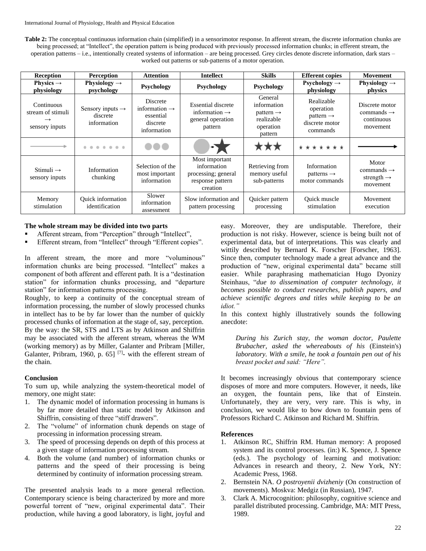**Table 2:** The conceptual continuous information chain (simplified) in a sensorimotor response. In afferent stream, the discrete information chunks are being processed; at "Intellect", the operation pattern is being produced with previously processed information chunks; in efferent stream, the operation patterns – i.e., intentionally created systems of information – are being processed. Grey circles denote discrete information, dark stars – worked out patterns or sub-patterns of a motor operation.

| <b>Reception</b>                                                   | <b>Perception</b>                                       | <b>Attention</b>                                                              | <b>Intellect</b>                                                                     | <b>Skills</b>                                                                         | <b>Efferent copies</b>                                                         | Movement                                                              |
|--------------------------------------------------------------------|---------------------------------------------------------|-------------------------------------------------------------------------------|--------------------------------------------------------------------------------------|---------------------------------------------------------------------------------------|--------------------------------------------------------------------------------|-----------------------------------------------------------------------|
| Physics $\rightarrow$<br>physiology                                | Physiology $\rightarrow$<br>psychology                  | Psychology                                                                    | <b>Psychology</b>                                                                    | Psychology                                                                            | Psychology $\rightarrow$<br>physiology                                         | Physiology $\rightarrow$<br>physics                                   |
| Continuous<br>stream of stimuli<br>$\rightarrow$<br>sensory inputs | Sensory inputs $\rightarrow$<br>discrete<br>information | Discrete<br>information $\rightarrow$<br>essential<br>discrete<br>information | Essential discrete<br>information $\rightarrow$<br>general operation<br>pattern      | General<br>information<br>pattern $\rightarrow$<br>realizable<br>operation<br>pattern | Realizable<br>operation<br>$pattern \rightarrow$<br>discrete motor<br>commands | Discrete motor<br>commands $\rightarrow$<br>continuous<br>movement    |
|                                                                    | 0.0.0.0.0                                               |                                                                               |                                                                                      |                                                                                       | * * * * * * *                                                                  |                                                                       |
| Stimuli $\rightarrow$<br>sensory inputs                            | Information<br>chunking                                 | Selection of the<br>most important<br>information                             | Most important<br>information<br>processing; general<br>response pattern<br>creation | Retrieving from<br>memory useful<br>sub-patterns                                      | Information<br>patterns $\rightarrow$<br>motor commands                        | Motor<br>$commands \rightarrow$<br>strength $\rightarrow$<br>movement |
| Memory<br>stimulation                                              | <b>Ouick</b> information<br>identification              | Slower<br>information<br>assessment                                           | Slow information and<br>pattern processing                                           | Quicker pattern<br>processing                                                         | Quick muscle<br>stimulation                                                    | Movement<br>execution                                                 |

# **The whole stream may be divided into two parts**

- Afferent stream, from "Perception" through "Intellect",
- Efferent stream, from "Intellect" through "Efferent copies".

In afferent stream, the more and more "voluminous" information chunks are being processed. "Intellect" makes a component of both afferent and efferent path. It is a "destination station" for information chunks processing, and "departure station" for information patterns processing.

Roughly, to keep a continuity of the conceptual stream of information processing, the number of slowly processed chunks in intellect has to be by far lower than the number of quickly processed chunks of information at the stage of, say, perception. By the way: the SR, STS and LTS as by Atkinson and Shiffrin may be associated with the afferent stream, whereas the WM (working memory) as by Miller, Galanter and Pribram [Miller, Galanter, Pribram, 1960, p. 65]  $[7]$ - with the efferent stream of the chain.

# **Conclusion**

To sum up, while analyzing the system-theoretical model of memory, one might state:

- 1. The dynamic model of information processing in humans is by far more detailed than static model by Atkinson and Shiffrin, consisting of three "stiff drawers".
- 2. The "volume" of information chunk depends on stage of processing in information processing stream.
- 3. The speed of processing depends on depth of this process at a given stage of information processing stream.
- 4. Both the volume (and number) of information chunks or patterns and the speed of their processing is being determined by continuity of information processing stream.

The presented analysis leads to a more general reflection. Contemporary science is being characterized by more and more powerful torrent of "new, original experimental data". Their production, while having a good laboratory, is light, joyful and easy. Moreover, they are undisputable. Therefore, their production is not risky. However, science is being built not of experimental data, but of interpretations. This was clearly and wittily described by Bernard K. Forscher [Forscher, 1963]. Since then, computer technology made a great advance and the production of "new, original experimental data" became still easier. While paraphrasing mathematician Hugo Dyonizy Steinhaus, "*due to dissemination of computer technology, it becomes possible to conduct researches, publish papers, and achieve scientific degrees and titles while keeping to be an idiot."*

In this context highly illustratively sounds the following anecdote:

*During his Zurich stay, the woman doctor, Paulette Brubacher, asked the whereabouts of his* (Einstein's) *laboratory. With a smile, he took a fountain pen out of his breast pocket and said: "Here".*

It becomes increasingly obvious that contemporary science disposes of more and more computers. However, it needs, like an oxygen, the fountain pens, like that of Einstein. Unfortunately, they are very, very rare. This is why, in conclusion, we would like to bow down to fountain pens of Professors Richard C. Atkinson and Richard M. Shiffrin.

#### **References**

- 1. Atkinson RC, Shiffrin RM. Human memory: A proposed system and its control processes. (in:) K. Spence, J. Spence (eds.). The psychology of learning and motivation: Advances in research and theory, 2. New York, NY: Academic Press, 1968.
- 2. Bernstein NA. *O postroyenii dvizheniy* (On construction of movements). Moskva: Medgiz (in Russian), 1947.
- 3. Clark A. Microcognition: philosophy, cognitive science and parallel distributed processing. Cambridge, MA: MIT Press, 1989.